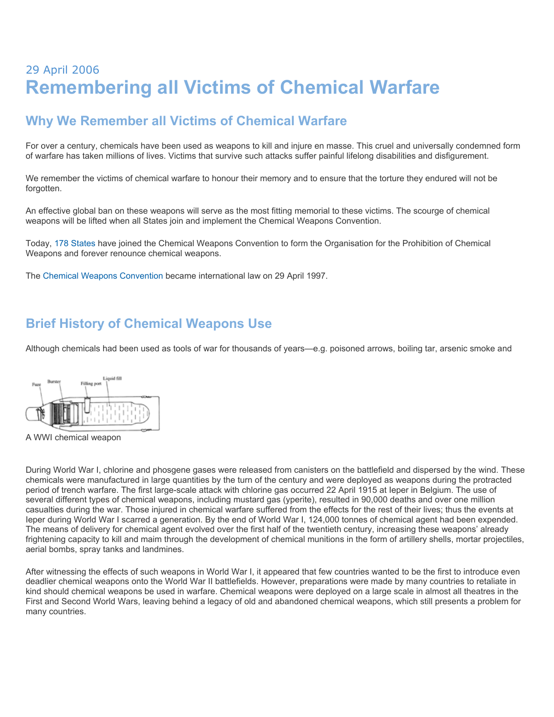# 29 April 2006 **Remembering all Victims of Chemical Warfare**

#### **Why We Remember all Victims of Chemical Warfare**

For over a century, chemicals have been used as weapons to kill and injure en masse. This cruel and universally condemned form of warfare has taken millions of lives. Victims that survive such attacks suffer painful lifelong disabilities and disfigurement.

We remember the victims of chemical warfare to honour their memory and to ensure that the torture they endured will not be forgotten.

An effective global ban on these weapons will serve as the most fitting memorial to these victims. The scourge of chemical weapons will be lifted when all States join and implement the Chemical Weapons Convention.

Today, [178 States](http://www.opcw.org/html/db/members_ratifyer.html) have joined the Chemical Weapons Convention to form the Organisation for the Prohibition of Chemical Weapons and forever renounce chemical weapons.

The [Chemical Weapons Convention](http://www.opcw.org/html/db/cwc/eng/cwc_menu.html) became international law on 29 April 1997.

#### **Brief History of Chemical Weapons Use**

Although chemicals had been used as tools of war for thousands of years—e.g. poisoned arrows, boiling tar, arsenic smoke and



A WWI chemical weapon

During World War I, chlorine and phosgene gases were released from canisters on the battlefield and dispersed by the wind. These chemicals were manufactured in large quantities by the turn of the century and were deployed as weapons during the protracted period of trench warfare. The first large-scale attack with chlorine gas occurred 22 April 1915 at Ieper in Belgium. The use of several different types of chemical weapons, including mustard gas (yperite), resulted in 90,000 deaths and over one million casualties during the war. Those injured in chemical warfare suffered from the effects for the rest of their lives; thus the events at Ieper during World War I scarred a generation. By the end of World War I, 124,000 tonnes of chemical agent had been expended. The means of delivery for chemical agent evolved over the first half of the twentieth century, increasing these weapons' already frightening capacity to kill and maim through the development of chemical munitions in the form of artillery shells, mortar projectiles, aerial bombs, spray tanks and landmines.

After witnessing the effects of such weapons in World War I, it appeared that few countries wanted to be the first to introduce even deadlier chemical weapons onto the World War II battlefields. However, preparations were made by many countries to retaliate in kind should chemical weapons be used in warfare. Chemical weapons were deployed on a large scale in almost all theatres in the First and Second World Wars, leaving behind a legacy of old and abandoned chemical weapons, which still presents a problem for many countries.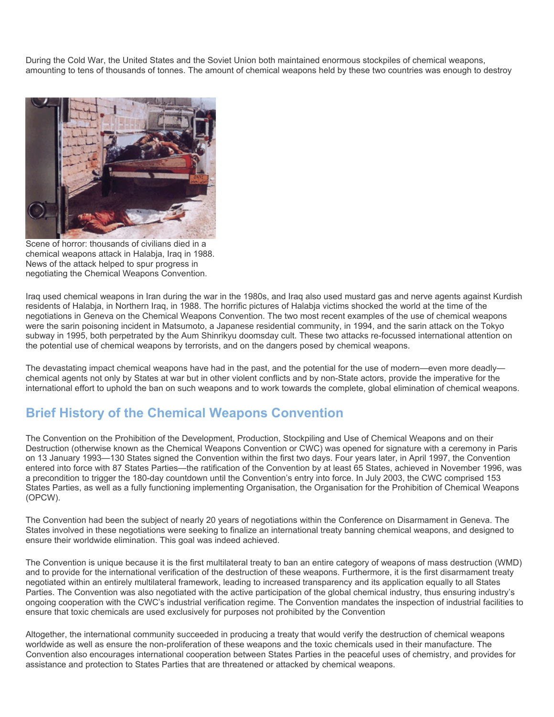During the Cold War, the United States and the Soviet Union both maintained enormous stockpiles of chemical weapons, amounting to tens of thousands of tonnes. The amount of chemical weapons held by these two countries was enough to destroy



Scene of horror: thousands of civilians died in a chemical weapons attack in Halabja, Iraq in 1988. News of the attack helped to spur progress in negotiating the Chemical Weapons Convention.

Iraq used chemical weapons in Iran during the war in the 1980s, and Iraq also used mustard gas and nerve agents against Kurdish residents of Halabja, in Northern Iraq, in 1988. The horrific pictures of Halabja victims shocked the world at the time of the negotiations in Geneva on the Chemical Weapons Convention. The two most recent examples of the use of chemical weapons were the sarin poisoning incident in Matsumoto, a Japanese residential community, in 1994, and the sarin attack on the Tokyo subway in 1995, both perpetrated by the Aum Shinrikyu doomsday cult. These two attacks re-focussed international attention on the potential use of chemical weapons by terrorists, and on the dangers posed by chemical weapons.

The devastating impact chemical weapons have had in the past, and the potential for the use of modern—even more deadly chemical agents not only by States at war but in other violent conflicts and by non-State actors, provide the imperative for the international effort to uphold the ban on such weapons and to work towards the complete, global elimination of chemical weapons.

#### **Brief History of the Chemical Weapons Convention**

The Convention on the Prohibition of the Development, Production, Stockpiling and Use of Chemical Weapons and on their Destruction (otherwise known as the Chemical Weapons Convention or CWC) was opened for signature with a ceremony in Paris on 13 January 1993—130 States signed the Convention within the first two days. Four years later, in April 1997, the Convention entered into force with 87 States Parties—the ratification of the Convention by at least 65 States, achieved in November 1996, was a precondition to trigger the 180-day countdown until the Convention's entry into force. In July 2003, the CWC comprised 153 States Parties, as well as a fully functioning implementing Organisation, the Organisation for the Prohibition of Chemical Weapons (OPCW).

The Convention had been the subject of nearly 20 years of negotiations within the Conference on Disarmament in Geneva. The States involved in these negotiations were seeking to finalize an international treaty banning chemical weapons, and designed to ensure their worldwide elimination. This goal was indeed achieved.

The Convention is unique because it is the first multilateral treaty to ban an entire category of weapons of mass destruction (WMD) and to provide for the international verification of the destruction of these weapons. Furthermore, it is the first disarmament treaty negotiated within an entirely multilateral framework, leading to increased transparency and its application equally to all States Parties. The Convention was also negotiated with the active participation of the global chemical industry, thus ensuring industry's ongoing cooperation with the CWC's industrial verification regime. The Convention mandates the inspection of industrial facilities to ensure that toxic chemicals are used exclusively for purposes not prohibited by the Convention

Altogether, the international community succeeded in producing a treaty that would verify the destruction of chemical weapons worldwide as well as ensure the non-proliferation of these weapons and the toxic chemicals used in their manufacture. The Convention also encourages international cooperation between States Parties in the peaceful uses of chemistry, and provides for assistance and protection to States Parties that are threatened or attacked by chemical weapons.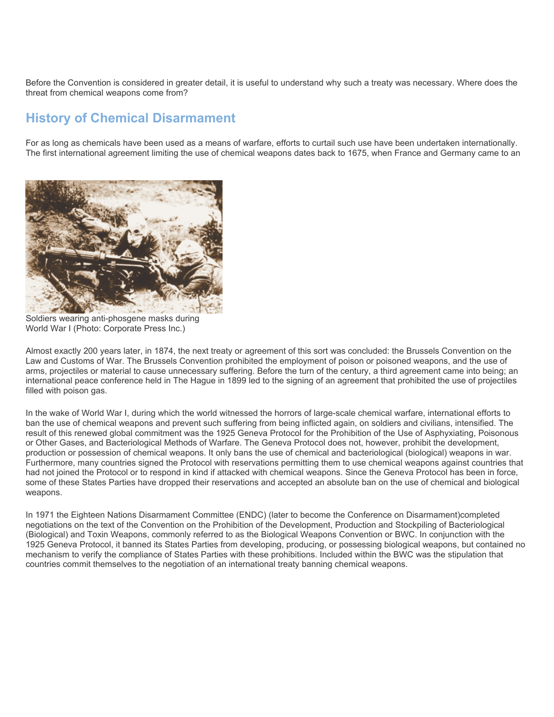Before the Convention is considered in greater detail, it is useful to understand why such a treaty was necessary. Where does the threat from chemical weapons come from?

#### **History of Chemical Disarmament**

For as long as chemicals have been used as a means of warfare, efforts to curtail such use have been undertaken internationally. The first international agreement limiting the use of chemical weapons dates back to 1675, when France and Germany came to an



Soldiers wearing anti-phosgene masks during World War I (Photo: Corporate Press Inc.)

Almost exactly 200 years later, in 1874, the next treaty or agreement of this sort was concluded: the Brussels Convention on the Law and Customs of War. The Brussels Convention prohibited the employment of poison or poisoned weapons, and the use of arms, projectiles or material to cause unnecessary suffering. Before the turn of the century, a third agreement came into being; an international peace conference held in The Hague in 1899 led to the signing of an agreement that prohibited the use of projectiles filled with poison gas.

In the wake of World War I, during which the world witnessed the horrors of large-scale chemical warfare, international efforts to ban the use of chemical weapons and prevent such suffering from being inflicted again, on soldiers and civilians, intensified. The result of this renewed global commitment was the 1925 Geneva Protocol for the Prohibition of the Use of Asphyxiating, Poisonous or Other Gases, and Bacteriological Methods of Warfare. The Geneva Protocol does not, however, prohibit the development, production or possession of chemical weapons. It only bans the use of chemical and bacteriological (biological) weapons in war. Furthermore, many countries signed the Protocol with reservations permitting them to use chemical weapons against countries that had not joined the Protocol or to respond in kind if attacked with chemical weapons. Since the Geneva Protocol has been in force, some of these States Parties have dropped their reservations and accepted an absolute ban on the use of chemical and biological weapons.

In 1971 the Eighteen Nations Disarmament Committee (ENDC) (later to become the Conference on Disarmament)completed negotiations on the text of the Convention on the Prohibition of the Development, Production and Stockpiling of Bacteriological (Biological) and Toxin Weapons, commonly referred to as the Biological Weapons Convention or BWC. In conjunction with the 1925 Geneva Protocol, it banned its States Parties from developing, producing, or possessing biological weapons, but contained no mechanism to verify the compliance of States Parties with these prohibitions. Included within the BWC was the stipulation that countries commit themselves to the negotiation of an international treaty banning chemical weapons.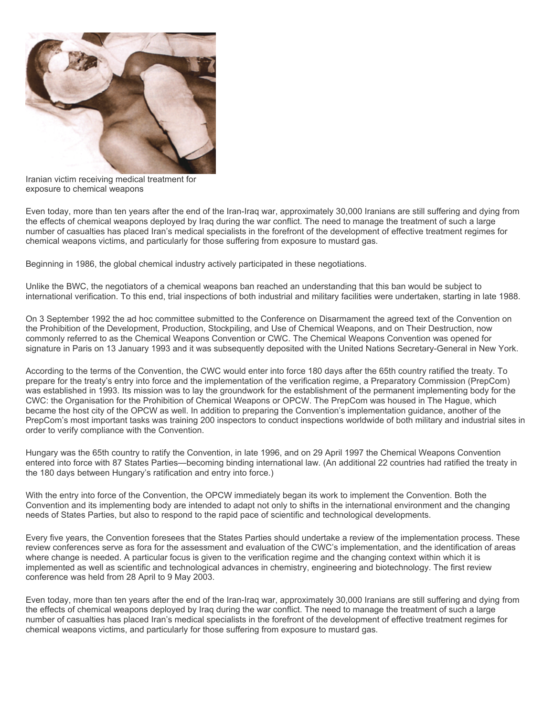

Iranian victim receiving medical treatment for exposure to chemical weapons

Even today, more than ten years after the end of the Iran-Iraq war, approximately 30,000 Iranians are still suffering and dying from the effects of chemical weapons deployed by Iraq during the war conflict. The need to manage the treatment of such a large number of casualties has placed Iran's medical specialists in the forefront of the development of effective treatment regimes for chemical weapons victims, and particularly for those suffering from exposure to mustard gas.

Beginning in 1986, the global chemical industry actively participated in these negotiations.

Unlike the BWC, the negotiators of a chemical weapons ban reached an understanding that this ban would be subject to international verification. To this end, trial inspections of both industrial and military facilities were undertaken, starting in late 1988.

On 3 September 1992 the ad hoc committee submitted to the Conference on Disarmament the agreed text of the Convention on the Prohibition of the Development, Production, Stockpiling, and Use of Chemical Weapons, and on Their Destruction, now commonly referred to as the Chemical Weapons Convention or CWC. The Chemical Weapons Convention was opened for signature in Paris on 13 January 1993 and it was subsequently deposited with the United Nations Secretary-General in New York.

According to the terms of the Convention, the CWC would enter into force 180 days after the 65th country ratified the treaty. To prepare for the treaty's entry into force and the implementation of the verification regime, a Preparatory Commission (PrepCom) was established in 1993. Its mission was to lay the groundwork for the establishment of the permanent implementing body for the CWC: the Organisation for the Prohibition of Chemical Weapons or OPCW. The PrepCom was housed in The Hague, which became the host city of the OPCW as well. In addition to preparing the Convention's implementation guidance, another of the PrepCom's most important tasks was training 200 inspectors to conduct inspections worldwide of both military and industrial sites in order to verify compliance with the Convention.

Hungary was the 65th country to ratify the Convention, in late 1996, and on 29 April 1997 the Chemical Weapons Convention entered into force with 87 States Parties—becoming binding international law. (An additional 22 countries had ratified the treaty in the 180 days between Hungary's ratification and entry into force.)

With the entry into force of the Convention, the OPCW immediately began its work to implement the Convention. Both the Convention and its implementing body are intended to adapt not only to shifts in the international environment and the changing needs of States Parties, but also to respond to the rapid pace of scientific and technological developments.

Every five years, the Convention foresees that the States Parties should undertake a review of the implementation process. These review conferences serve as fora for the assessment and evaluation of the CWC's implementation, and the identification of areas where change is needed. A particular focus is given to the verification regime and the changing context within which it is implemented as well as scientific and technological advances in chemistry, engineering and biotechnology. The first review conference was held from 28 April to 9 May 2003.

Even today, more than ten years after the end of the Iran-Iraq war, approximately 30,000 Iranians are still suffering and dying from the effects of chemical weapons deployed by Iraq during the war conflict. The need to manage the treatment of such a large number of casualties has placed Iran's medical specialists in the forefront of the development of effective treatment regimes for chemical weapons victims, and particularly for those suffering from exposure to mustard gas.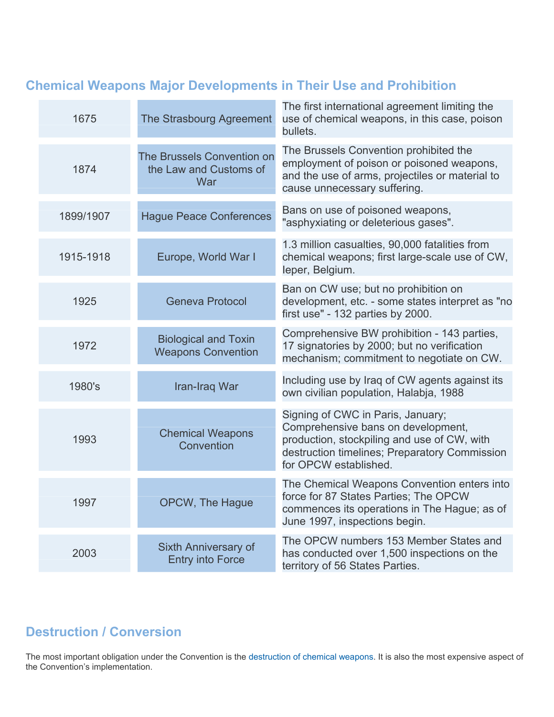## **Chemical Weapons Major Developments in Their Use and Prohibition**

| 1675      | The Strasbourg Agreement                                    | The first international agreement limiting the<br>use of chemical weapons, in this case, poison<br>bullets.                                                                                      |
|-----------|-------------------------------------------------------------|--------------------------------------------------------------------------------------------------------------------------------------------------------------------------------------------------|
| 1874      | The Brussels Convention on<br>the Law and Customs of<br>War | The Brussels Convention prohibited the<br>employment of poison or poisoned weapons,<br>and the use of arms, projectiles or material to<br>cause unnecessary suffering.                           |
| 1899/1907 | <b>Hague Peace Conferences</b>                              | Bans on use of poisoned weapons,<br>"asphyxiating or deleterious gases".                                                                                                                         |
| 1915-1918 | Europe, World War I                                         | 1.3 million casualties, 90,000 fatalities from<br>chemical weapons; first large-scale use of CW,<br>leper, Belgium.                                                                              |
| 1925      | <b>Geneva Protocol</b>                                      | Ban on CW use; but no prohibition on<br>development, etc. - some states interpret as "no<br>first use" - 132 parties by 2000.                                                                    |
| 1972      | <b>Biological and Toxin</b><br><b>Weapons Convention</b>    | Comprehensive BW prohibition - 143 parties,<br>17 signatories by 2000; but no verification<br>mechanism; commitment to negotiate on CW.                                                          |
| 1980's    | Iran-Iraq War                                               | Including use by Iraq of CW agents against its<br>own civilian population, Halabja, 1988                                                                                                         |
| 1993      | <b>Chemical Weapons</b><br>Convention                       | Signing of CWC in Paris, January;<br>Comprehensive bans on development,<br>production, stockpiling and use of CW, with<br>destruction timelines; Preparatory Commission<br>for OPCW established. |
| 1997      | OPCW, The Hague                                             | The Chemical Weapons Convention enters into<br>force for 87 States Parties; The OPCW<br>commences its operations in The Hague; as of<br>June 1997, inspections begin.                            |
| 2003      | Sixth Anniversary of<br><b>Entry into Force</b>             | The OPCW numbers 153 Member States and<br>has conducted over 1,500 inspections on the<br>territory of 56 States Parties.                                                                         |

### **Destruction / Conversion**

The most important obligation under the Convention is the [destruction of chemical weapons.](http://www.opcw.org/ib/html/results.html) It is also the most expensive aspect of the Convention's implementation.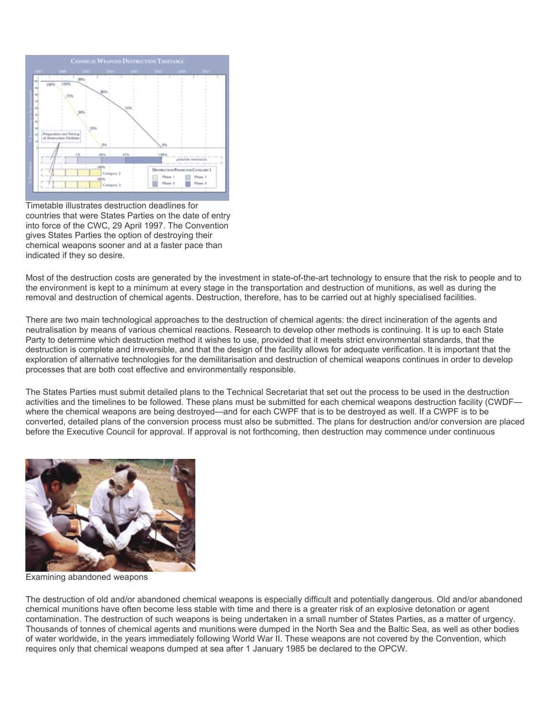

Timetable illustrates destruction deadlines for countries that were States Parties on the date of entry into force of the CWC, 29 April 1997. The Convention gives States Parties the option of destroying their chemical weapons sooner and at a faster pace than indicated if they so desire.

Most of the destruction costs are generated by the investment in state-of-the-art technology to ensure that the risk to people and to the environment is kept to a minimum at every stage in the transportation and destruction of munitions, as well as during the removal and destruction of chemical agents. Destruction, therefore, has to be carried out at highly specialised facilities.

There are two main technological approaches to the destruction of chemical agents: the direct incineration of the agents and neutralisation by means of various chemical reactions. Research to develop other methods is continuing. It is up to each State Party to determine which destruction method it wishes to use, provided that it meets strict environmental standards, that the destruction is complete and irreversible, and that the design of the facility allows for adequate verification. It is important that the exploration of alternative technologies for the demilitarisation and destruction of chemical weapons continues in order to develop processes that are both cost effective and environmentally responsible.

The States Parties must submit detailed plans to the Technical Secretariat that set out the process to be used in the destruction activities and the timelines to be followed. These plans must be submitted for each chemical weapons destruction facility (CWDF where the chemical weapons are being destroyed—and for each CWPF that is to be destroyed as well. If a CWPF is to be converted, detailed plans of the conversion process must also be submitted. The plans for destruction and/or conversion are placed before the Executive Council for approval. If approval is not forthcoming, then destruction may commence under continuous



Examining abandoned weapons

The destruction of old and/or abandoned chemical weapons is especially difficult and potentially dangerous. Old and/or abandoned chemical munitions have often become less stable with time and there is a greater risk of an explosive detonation or agent contamination. The destruction of such weapons is being undertaken in a small number of States Parties, as a matter of urgency. Thousands of tonnes of chemical agents and munitions were dumped in the North Sea and the Baltic Sea, as well as other bodies of water worldwide, in the years immediately following World War II. These weapons are not covered by the Convention, which requires only that chemical weapons dumped at sea after 1 January 1985 be declared to the OPCW.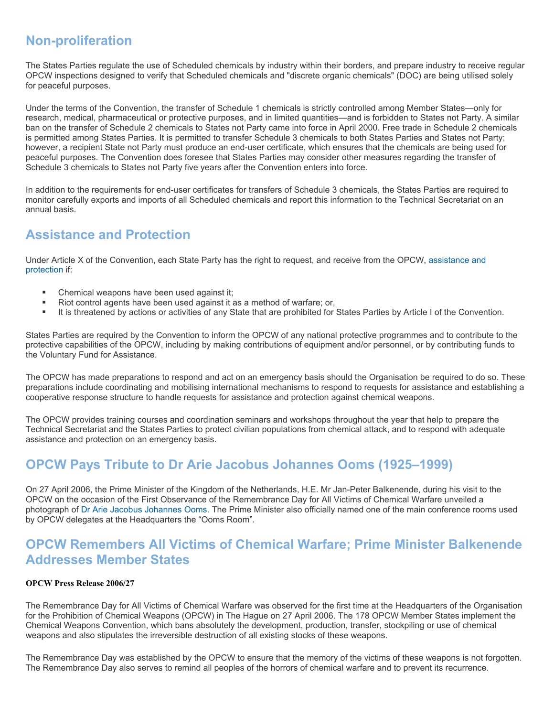#### **Non-proliferation**

The States Parties regulate the use of Scheduled chemicals by industry within their borders, and prepare industry to receive regular OPCW inspections designed to verify that Scheduled chemicals and "discrete organic chemicals" (DOC) are being utilised solely for peaceful purposes.

Under the terms of the Convention, the transfer of Schedule 1 chemicals is strictly controlled among Member States—only for research, medical, pharmaceutical or protective purposes, and in limited quantities—and is forbidden to States not Party. A similar ban on the transfer of Schedule 2 chemicals to States not Party came into force in April 2000. Free trade in Schedule 2 chemicals is permitted among States Parties. It is permitted to transfer Schedule 3 chemicals to both States Parties and States not Party; however, a recipient State not Party must produce an end-user certificate, which ensures that the chemicals are being used for peaceful purposes. The Convention does foresee that States Parties may consider other measures regarding the transfer of Schedule 3 chemicals to States not Party five years after the Convention enters into force.

In addition to the requirements for end-user certificates for transfers of Schedule 3 chemicals, the States Parties are required to monitor carefully exports and imports of all Scheduled chemicals and report this information to the Technical Secretariat on an annual basis.

#### **Assistance and Protection**

Under Article X of the Convention, each State Party has the right to request, and receive from the OPCW, [assistance and](http://www.opcw.org/en/ap_menu.html)  [protection](http://www.opcw.org/en/ap_menu.html) if:

- Chemical weapons have been used against it;
- Riot control agents have been used against it as a method of warfare; or,
- It is threatened by actions or activities of any State that are prohibited for States Parties by Article I of the Convention.

States Parties are required by the Convention to inform the OPCW of any national protective programmes and to contribute to the protective capabilities of the OPCW, including by making contributions of equipment and/or personnel, or by contributing funds to the Voluntary Fund for Assistance.

The OPCW has made preparations to respond and act on an emergency basis should the Organisation be required to do so. These preparations include coordinating and mobilising international mechanisms to respond to requests for assistance and establishing a cooperative response structure to handle requests for assistance and protection against chemical weapons.

The OPCW provides training courses and coordination seminars and workshops throughout the year that help to prepare the Technical Secretariat and the States Parties to protect civilian populations from chemical attack, and to respond with adequate assistance and protection on an emergency basis.

#### **OPCW Pays Tribute to Dr Arie Jacobus Johannes Ooms (1925–1999)**

On 27 April 2006, the Prime Minister of the Kingdom of the Netherlands, H.E. Mr Jan-Peter Balkenende, during his visit to the OPCW on the occasion of the First Observance of the Remembrance Day for All Victims of Chemical Warfare unveiled a photograph of [Dr Arie Jacobus Johannes Ooms](http://www.opcw.org/29april/page02.html). The Prime Minister also officially named one of the main conference rooms used by OPCW delegates at the Headquarters the "Ooms Room".

#### **OPCW Remembers All Victims of Chemical Warfare; Prime Minister Balkenende Addresses Member States**

#### **OPCW Press Release 2006/27**

The Remembrance Day for All Victims of Chemical Warfare was observed for the first time at the Headquarters of the Organisation for the Prohibition of Chemical Weapons (OPCW) in The Hague on 27 April 2006. The 178 OPCW Member States implement the Chemical Weapons Convention, which bans absolutely the development, production, transfer, stockpiling or use of chemical weapons and also stipulates the irreversible destruction of all existing stocks of these weapons.

The Remembrance Day was established by the OPCW to ensure that the memory of the victims of these weapons is not forgotten. The Remembrance Day also serves to remind all peoples of the horrors of chemical warfare and to prevent its recurrence.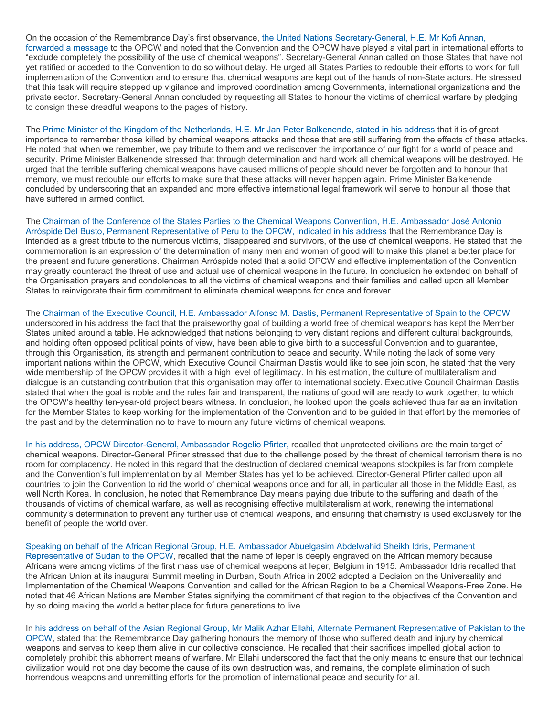On the occasion of the Remembrance Day's first observance, [the United Nations Secretary-General, H.E. Mr Kofi Annan,](http://www.opcw.org/29april/UNSGmessage.pdf)  [forwarded a message](http://www.opcw.org/29april/UNSGmessage.pdf) to the OPCW and noted that the Convention and the OPCW have played a vital part in international efforts to "exclude completely the possibility of the use of chemical weapons". Secretary-General Annan called on those States that have not yet ratified or acceded to the Convention to do so without delay. He urged all States Parties to redouble their efforts to work for full implementation of the Convention and to ensure that chemical weapons are kept out of the hands of non-State actors. He stressed that this task will require stepped up vigilance and improved coordination among Governments, international organizations and the private sector. Secretary-General Annan concluded by requesting all States to honour the victims of chemical warfare by pledging to consign these dreadful weapons to the pages of history.

The [Prime Minister of the Kingdom of the Netherlands, H.E. Mr Jan Peter Balkenende, stated in his address](http://www.opcw.org/29april/nl-pm.pdf) that it is of great importance to remember those killed by chemical weapons attacks and those that are still suffering from the effects of these attacks. He noted that when we remember, we pay tribute to them and we rediscover the importance of our fight for a world of peace and security. Prime Minister Balkenende stressed that through determination and hard work all chemical weapons will be destroyed. He urged that the terrible suffering chemical weapons have caused millions of people should never be forgotten and to honour that memory, we must redouble our efforts to make sure that these attacks will never happen again. Prime Minister Balkenende concluded by underscoring that an expanded and more effective international legal framework will serve to honour all those that have suffered in armed conflict.

The [Chairman of the Conference of the States Parties to the Chemical Weapons Convention, H.E. Ambassador José Antonio](http://www.opcw.org/29april/csp.pdf)  [Arróspide Del Busto, Permanent Representative of Peru to the OPCW, indicated in his address](http://www.opcw.org/29april/csp.pdf) that the Remembrance Day is intended as a great tribute to the numerous victims, disappeared and survivors, of the use of chemical weapons. He stated that the commemoration is an expression of the determination of many men and women of good will to make this planet a better place for the present and future generations. Chairman Arróspide noted that a solid OPCW and effective implementation of the Convention may greatly counteract the threat of use and actual use of chemical weapons in the future. In conclusion he extended on behalf of the Organisation prayers and condolences to all the victims of chemical weapons and their families and called upon all Member States to reinvigorate their firm commitment to eliminate chemical weapons for once and forever.

The [Chairman of the Executive Council, H.E. Ambassador Alfonso M. Dastis, Permanent Representative of Spain to the OPCW,](http://www.opcw.org/29april/ec.pdf) underscored in his address the fact that the praiseworthy goal of building a world free of chemical weapons has kept the Member States united around a table. He acknowledged that nations belonging to very distant regions and different cultural backgrounds, and holding often opposed political points of view, have been able to give birth to a successful Convention and to guarantee, through this Organisation, its strength and permanent contribution to peace and security. While noting the lack of some very important nations within the OPCW, which Executive Council Chairman Dastis would like to see join soon, he stated that the very wide membership of the OPCW provides it with a high level of legitimacy. In his estimation, the culture of multilateralism and dialogue is an outstanding contribution that this organisation may offer to international society. Executive Council Chairman Dastis stated that when the goal is noble and the rules fair and transparent, the nations of good will are ready to work together, to which the OPCW's healthy ten-year-old project bears witness. In conclusion, he looked upon the goals achieved thus far as an invitation for the Member States to keep working for the implementation of the Convention and to be guided in that effort by the memories of the past and by the determination no to have to mourn any future victims of chemical weapons.

[In his address, OPCW Director-General, Ambassador Rogelio Pfirter,](http://www.opcw.org/29april/dg.pdf) recalled that unprotected civilians are the main target of chemical weapons. Director-General Pfirter stressed that due to the challenge posed by the threat of chemical terrorism there is no room for complacency. He noted in this regard that the destruction of declared chemical weapons stockpiles is far from complete and the Convention's full implementation by all Member States has yet to be achieved. Director-General Pfirter called upon all countries to join the Convention to rid the world of chemical weapons once and for all, in particular all those in the Middle East, as well North Korea. In conclusion, he noted that Remembrance Day means paying due tribute to the suffering and death of the thousands of victims of chemical warfare, as well as recognising effective multilateralism at work, renewing the international community's determination to prevent any further use of chemical weapons, and ensuring that chemistry is used exclusively for the benefit of people the world over.

[Speaking on behalf of the African Regional Group, H.E. Ambassador Abuelgasim Abdelwahid Sheikh Idris, Permanent](http://www.opcw.org/29april/africa.pdf)  [Representative of Sudan to the OPCW,](http://www.opcw.org/29april/africa.pdf) recalled that the name of Ieper is deeply engraved on the African memory because Africans were among victims of the first mass use of chemical weapons at Ieper, Belgium in 1915. Ambassador Idris recalled that the African Union at its inaugural Summit meeting in Durban, South Africa in 2002 adopted a Decision on the Universality and Implementation of the Chemical Weapons Convention and called for the African Region to be a Chemical Weapons-Free Zone. He noted that 46 African Nations are Member States signifying the commitment of that region to the objectives of the Convention and by so doing making the world a better place for future generations to live.

In [his address on behalf of the Asian Regional Group, Mr Malik Azhar Ellahi, Alternate Permanent Representative of Pakistan to the](http://www.opcw.org/29april/asia.pdf) [OPCW,](http://www.opcw.org/29april/asia.pdf) stated that the Remembrance Day gathering honours the memory of those who suffered death and injury by chemical weapons and serves to keep them alive in our collective conscience. He recalled that their sacrifices impelled global action to completely prohibit this abhorrent means of warfare. Mr Ellahi underscored the fact that the only means to ensure that our technical civilization would not one day become the cause of its own destruction was, and remains, the complete elimination of such horrendous weapons and unremitting efforts for the promotion of international peace and security for all.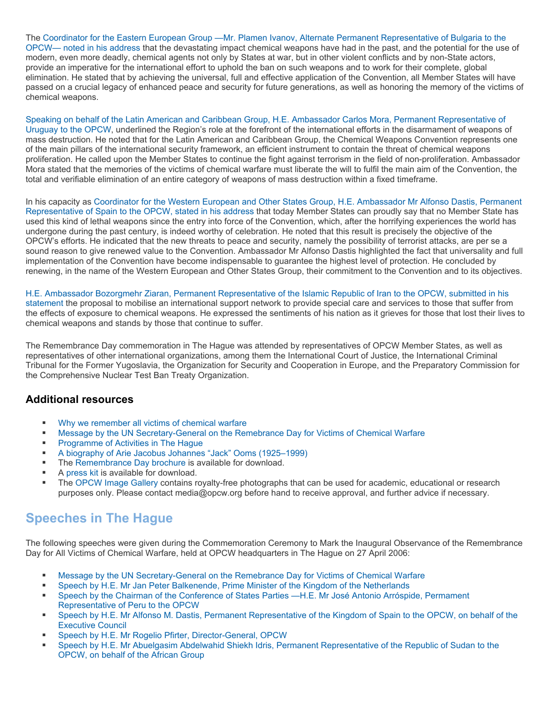The [Coordinator for the Eastern European Group —Mr. Plamen Ivanov, Alternate Permanent Representative of Bulgaria to the](http://www.opcw.org/29april/eeg.pdf)  [OPCW— noted in his address](http://www.opcw.org/29april/eeg.pdf) that the devastating impact chemical weapons have had in the past, and the potential for the use of modern, even more deadly, chemical agents not only by States at war, but in other violent conflicts and by non-State actors, provide an imperative for the international effort to uphold the ban on such weapons and to work for their complete, global elimination. He stated that by achieving the universal, full and effective application of the Convention, all Member States will have passed on a crucial legacy of enhanced peace and security for future generations, as well as honoring the memory of the victims of chemical weapons.

[Speaking on behalf of the Latin American and Caribbean Group, H.E. Ambassador Carlos Mora, Permanent Representative of](http://www.opcw.org/29april/grulac.pdf)  [Uruguay to the OPCW,](http://www.opcw.org/29april/grulac.pdf) underlined the Region's role at the forefront of the international efforts in the disarmament of weapons of mass destruction. He noted that for the Latin American and Caribbean Group, the Chemical Weapons Convention represents one of the main pillars of the international security framework, an efficient instrument to contain the threat of chemical weapons proliferation. He called upon the Member States to continue the fight against terrorism in the field of non-proliferation. Ambassador Mora stated that the memories of the victims of chemical warfare must liberate the will to fulfil the main aim of the Convention, the total and verifiable elimination of an entire category of weapons of mass destruction within a fixed timeframe.

In his capacity as [Coordinator for the Western European and Other States Group, H.E. Ambassador Mr Alfonso Dastis, Permanent](http://www.opcw.org/29april/weog.pdf)  [Representative of Spain to the OPCW, stated in his address](http://www.opcw.org/29april/weog.pdf) that today Member States can proudly say that no Member State has used this kind of lethal weapons since the entry into force of the Convention, which, after the horrifying experiences the world has undergone during the past century, is indeed worthy of celebration. He noted that this result is precisely the objective of the OPCW's efforts. He indicated that the new threats to peace and security, namely the possibility of terrorist attacks, are per se a sound reason to give renewed value to the Convention. Ambassador Mr Alfonso Dastis highlighted the fact that universality and full implementation of the Convention have become indispensable to guarantee the highest level of protection. He concluded by renewing, in the name of the Western European and Other States Group, their commitment to the Convention and to its objectives.

[H.E. Ambassador Bozorgmehr Ziaran, Permanent Representative of the Islamic Republic of Iran to the OPCW, submitted in his](http://www.opcw.org/29april/iran.pdf)  [statement](http://www.opcw.org/29april/iran.pdf) the proposal to mobilise an international support network to provide special care and services to those that suffer from the effects of exposure to chemical weapons. He expressed the sentiments of his nation as it grieves for those that lost their lives to chemical weapons and stands by those that continue to suffer.

The Remembrance Day commemoration in The Hague was attended by representatives of OPCW Member States, as well as representatives of other international organizations, among them the International Court of Justice, the International Criminal Tribunal for the Former Yugoslavia, the Organization for Security and Cooperation in Europe, and the Preparatory Commission for the Comprehensive Nuclear Test Ban Treaty Organization.

#### **Additional resources**

- Why we remember all victims of chemical warfare<br>Moscogo by the UN Secretary Conoral on the Ber
- [Message by the UN Secretary-General on the Remebrance Day for Victims of Chemical Warfare](http://www.opcw.org/29april/UNSGmessage.pdf)
- **[Programme of Activities in The Hague](http://www.opcw.org/29april/page02.html)**
- [A biography of Arie Jacobus Johannes "Jack" Ooms \(1925–1999\)](http://www.opcw.org/29april/page02.html)
- **The [Remembrance Day brochure](http://www.opcw.org/29april/27April2006-web.pdf) is available for download.**
- A [press kit](http://www.opcw.org/29april/presskit.pdf) is available for download.
- **FRE** [OPCW Image Gallery](http://www.opcw.org/html/global/news_downloads.html) contains royalty-free photographs that can be used for academic, educational or research purposes only. Please contact media@opcw.org before hand to receive approval, and further advice if necessary.

#### **Speeches in The Hague**

The following speeches were given during the Commemoration Ceremony to Mark the Inaugural Observance of the Remembrance Day for All Victims of Chemical Warfare, held at OPCW headquarters in The Hague on 27 April 2006:

- [Message by the UN Secretary-General on the Remebrance Day for Victims of Chemical Warfare](http://www.opcw.org/29april/UNSGmessage.pdf)
- [Speech by H.E. Mr Jan Peter Balkenende, Prime Minister of the Kingdom of the Netherlands](http://www.opcw.org/29april/nl-pm.pdf)
- [Speech by the Chairman of the Conference of States Parties —H.E. Mr José Antonio Arróspide, Permament](http://www.opcw.org/29april/csp.pdf)  [Representative of Peru to the OPCW](http://www.opcw.org/29april/csp.pdf)
- [Speech by H.E. Mr Alfonso M. Dastis, Permanent Representative of the Kingdom of Spain to the OPCW, on behalf of the](http://www.opcw.org/html/global/cv/cv_ec_cm.html)  [Executive Council](http://www.opcw.org/html/global/cv/cv_ec_cm.html)
- **[Speech by H.E. Mr Rogelio Pfirter, Director-General, OPCW](http://www.opcw.org/29april/DGstatement.html)**
- [Speech by H.E. Mr Abuelgasim Abdelwahid Shiekh Idris, Permanent Representative of the Republic of Sudan to the](http://www.opcw.org/29april/africa.pdf)  [OPCW, on behalf of the African Group](http://www.opcw.org/29april/africa.pdf)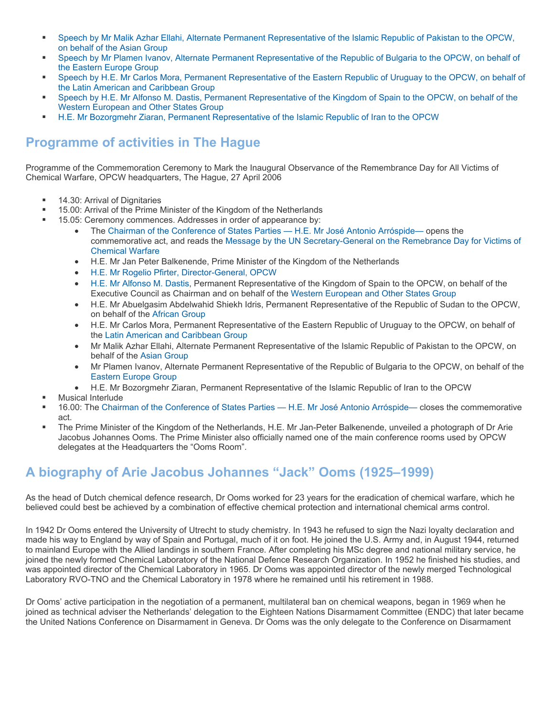- [Speech by Mr Malik Azhar Ellahi, Alternate Permanent Representative of the Islamic Republic of Pakistan to the OPCW,](http://www.opcw.org/29april/asia.pdf)  [on behalf of the Asian Group](http://www.opcw.org/29april/asia.pdf)
- [Speech by Mr Plamen Ivanov, Alternate Permanent Representative of the Republic of Bulgaria to the OPCW, on behalf of](http://www.opcw.org/29april/eeg.pdf)  [the Eastern Europe Group](http://www.opcw.org/29april/eeg.pdf)
- [Speech by H.E. Mr Carlos Mora, Permanent Representative of the Eastern Republic of Uruguay to the OPCW, on behalf of](http://www.opcw.org/29april/grulac.pdf)  [the Latin American and Caribbean Group](http://www.opcw.org/29april/grulac.pdf)
- [Speech by H.E. Mr Alfonso M. Dastis, Permanent Representative of the Kingdom of Spain to the OPCW, on behalf of the](http://www.opcw.org/29april/weog.pdf)  [Western European and Other States Group](http://www.opcw.org/29april/weog.pdf)
- [H.E. Mr Bozorgmehr Ziaran, Permanent Representative of the Islamic Republic of Iran to the OPCW](http://www.opcw.org/29april/iran.pdf)

### **Programme of activities in The Hague**

Programme of the Commemoration Ceremony to Mark the Inaugural Observance of the Remembrance Day for All Victims of Chemical Warfare, OPCW headquarters, The Hague, 27 April 2006

- **14.30: Arrival of Dignitaries**
- 15.00: Arrival of the Prime Minister of the Kingdom of the Netherlands
	- 15.05: Ceremony commences. Addresses in order of appearance by:
		- The [Chairman of the Conference of States Parties H.E. Mr José Antonio Arróspide— o](http://www.opcw.org/html/global/cv/cv_csp_cm.html)pens the commemorative act, and reads the [Message by the UN Secretary-General on the Remebrance Day for Victims of](http://www.opcw.org/29april/UNSGmessage.pdf)  [Chemical Warfare](http://www.opcw.org/29april/UNSGmessage.pdf)
		- H.E. Mr Jan Peter Balkenende, Prime Minister of the Kingdom of the Netherlands
		- [H.E. Mr Rogelio Pfirter, Director-General, OPCW](http://www.opcw.org/html/global/cv/dg.html)
		- [H.E. Mr Alfonso M. Dastis](http://www.opcw.org/html/global/cv/cv_ec_cm.html), Permanent Representative of the Kingdom of Spain to the OPCW, on behalf of the Executive Council as Chairman and on behalf of the [Western European and Other States Group](http://www.opcw.org/html/db/members_weur_grp.html)
		- H.E. Mr Abuelgasim Abdelwahid Shiekh Idris, Permanent Representative of the Republic of Sudan to the OPCW, on behalf of the [African Group](http://www.opcw.org/html/db/members_afr_grp.html)
		- H.E. Mr Carlos Mora, Permanent Representative of the Eastern Republic of Uruguay to the OPCW, on behalf of the [Latin American and Caribbean Group](http://www.opcw.org/html/db/members_latam_grp.html)
		- Mr Malik Azhar Ellahi, Alternate Permanent Representative of the Islamic Republic of Pakistan to the OPCW, on behalf of the [Asian Group](http://www.opcw.org/html/db/members_asia_grp.html)
		- Mr Plamen Ivanov, Alternate Permanent Representative of the Republic of Bulgaria to the OPCW, on behalf of the [Eastern Europe Group](http://www.opcw.org/html/db/members_eeur_grp.html)
		- H.E. Mr Bozorgmehr Ziaran, Permanent Representative of the Islamic Republic of Iran to the OPCW
	- Musical Interlude
- 16.00: The [Chairman of the Conference of States Parties H.E. Mr José Antonio Arróspide—](http://www.opcw.org/html/global/cv/cv_csp_cm.html) closes the commemorative act.
- The Prime Minister of the Kingdom of the Netherlands, H.E. Mr Jan-Peter Balkenende, unveiled a photograph of Dr Arie Jacobus Johannes Ooms. The Prime Minister also officially named one of the main conference rooms used by OPCW delegates at the Headquarters the "Ooms Room".

### **A biography of Arie Jacobus Johannes "Jack" Ooms (1925–1999)**

As the head of Dutch chemical defence research, Dr Ooms worked for 23 years for the eradication of chemical warfare, which he believed could best be achieved by a combination of effective chemical protection and international chemical arms control.

In 1942 Dr Ooms entered the University of Utrecht to study chemistry. In 1943 he refused to sign the Nazi loyalty declaration and made his way to England by way of Spain and Portugal, much of it on foot. He joined the U.S. Army and, in August 1944, returned to mainland Europe with the Allied landings in southern France. After completing his MSc degree and national military service, he joined the newly formed Chemical Laboratory of the National Defence Research Organization. In 1952 he finished his studies, and was appointed director of the Chemical Laboratory in 1965. Dr Ooms was appointed director of the newly merged Technological Laboratory RVO-TNO and the Chemical Laboratory in 1978 where he remained until his retirement in 1988.

Dr Ooms' active participation in the negotiation of a permanent, multilateral ban on chemical weapons, began in 1969 when he joined as technical adviser the Netherlands' delegation to the Eighteen Nations Disarmament Committee (ENDC) that later became the United Nations Conference on Disarmament in Geneva. Dr Ooms was the only delegate to the Conference on Disarmament